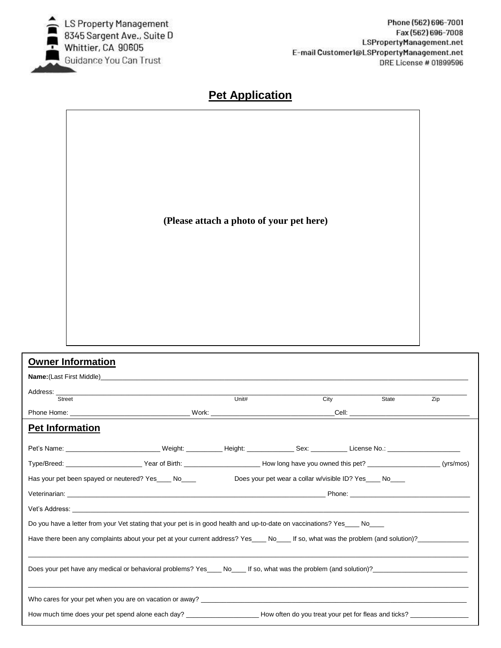

## Phone (562) 696-7001 Fax (562) 696-7008 LSPropertyManagement.net E-mail Customer1@LSPropertyManagement.net DRE License # 01899596

## **Pet Application**

**(Please attach a photo of your pet here)**

| <b>Owner Information</b>                                                                                                                                         |                                                                                                                                                 |        |      |                                                                                                                                                                         |     |  |  |  |  |
|------------------------------------------------------------------------------------------------------------------------------------------------------------------|-------------------------------------------------------------------------------------------------------------------------------------------------|--------|------|-------------------------------------------------------------------------------------------------------------------------------------------------------------------------|-----|--|--|--|--|
|                                                                                                                                                                  |                                                                                                                                                 |        |      |                                                                                                                                                                         |     |  |  |  |  |
| Street                                                                                                                                                           |                                                                                                                                                 | Unitt# | City | State                                                                                                                                                                   | Zip |  |  |  |  |
|                                                                                                                                                                  |                                                                                                                                                 |        |      | Cell: <b>Cell Cell Cell Cell Cell Cell Cell Cell Cell Cell Cell Cell Cell Cell Cell Cell Cell Cell Cell Cell Cell Cell Cell Cell Cell Cell Cell Cell Cell Cell Cell</b> |     |  |  |  |  |
| <b>Pet Information</b>                                                                                                                                           |                                                                                                                                                 |        |      |                                                                                                                                                                         |     |  |  |  |  |
| Pet's Name: ____________________________Weight: ___________Height: _______________Sex: ____________ License No.: _____________________                           |                                                                                                                                                 |        |      |                                                                                                                                                                         |     |  |  |  |  |
|                                                                                                                                                                  | Type/Breed: __________________________Year of Birth: __________________________How long have you owned this pet? _____________________(yrs/mos) |        |      |                                                                                                                                                                         |     |  |  |  |  |
| Does your pet wear a collar w/visible ID? Yes____ No____<br>Has your pet been spayed or neutered? Yes____ No____                                                 |                                                                                                                                                 |        |      |                                                                                                                                                                         |     |  |  |  |  |
|                                                                                                                                                                  |                                                                                                                                                 |        |      |                                                                                                                                                                         |     |  |  |  |  |
|                                                                                                                                                                  |                                                                                                                                                 |        |      |                                                                                                                                                                         |     |  |  |  |  |
| Do you have a letter from your Vet stating that your pet is in good health and up-to-date on vaccinations? Yes____ No____                                        |                                                                                                                                                 |        |      |                                                                                                                                                                         |     |  |  |  |  |
| Have there been any complaints about your pet at your current address? Yes____No____ If so, what was the problem (and solution)?________________________________ |                                                                                                                                                 |        |      |                                                                                                                                                                         |     |  |  |  |  |
|                                                                                                                                                                  |                                                                                                                                                 |        |      |                                                                                                                                                                         |     |  |  |  |  |
| Does your pet have any medical or behavioral problems? Yes No If so, what was the problem (and solution)?                                                        |                                                                                                                                                 |        |      |                                                                                                                                                                         |     |  |  |  |  |
|                                                                                                                                                                  |                                                                                                                                                 |        |      |                                                                                                                                                                         |     |  |  |  |  |
|                                                                                                                                                                  |                                                                                                                                                 |        |      |                                                                                                                                                                         |     |  |  |  |  |
| How much time does your pet spend alone each day? How often do you treat your pet for fleas and ticks?                                                           |                                                                                                                                                 |        |      |                                                                                                                                                                         |     |  |  |  |  |
|                                                                                                                                                                  |                                                                                                                                                 |        |      |                                                                                                                                                                         |     |  |  |  |  |